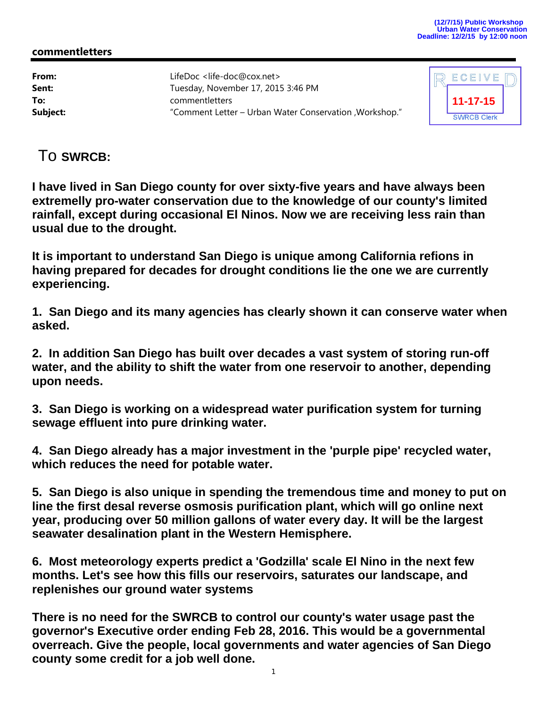## **commentletters**

**From:** LifeDoc <life-doc@cox.net> **Sent:** Tuesday, November 17, 2015 3:46 PM **To:** commentletters **Subject:** "Comment Letter – Urban Water Conservation ,Workshop."



To **SWRCB:** 

**I have lived in San Diego county for over sixty-five years and have always been extremelly pro-water conservation due to the knowledge of our county's limited rainfall, except during occasional El Ninos. Now we are receiving less rain than usual due to the drought.** 

**It is important to understand San Diego is unique among California refions in having prepared for decades for drought conditions lie the one we are currently experiencing.** 

**1. San Diego and its many agencies has clearly shown it can conserve water when asked.** 

**2. In addition San Diego has built over decades a vast system of storing run-off water, and the ability to shift the water from one reservoir to another, depending upon needs.** 

**3. San Diego is working on a widespread water purification system for turning sewage effluent into pure drinking water.** 

**4. San Diego already has a major investment in the 'purple pipe' recycled water, which reduces the need for potable water.** 

**5. San Diego is also unique in spending the tremendous time and money to put on line the first desal reverse osmosis purification plant, which will go online next year, producing over 50 million gallons of water every day. It will be the largest seawater desalination plant in the Western Hemisphere.** 

**6. Most meteorology experts predict a 'Godzilla' scale El Nino in the next few months. Let's see how this fills our reservoirs, saturates our landscape, and replenishes our ground water systems** 

**There is no need for the SWRCB to control our county's water usage past the governor's Executive order ending Feb 28, 2016. This would be a governmental overreach. Give the people, local governments and water agencies of San Diego county some credit for a job well done.**